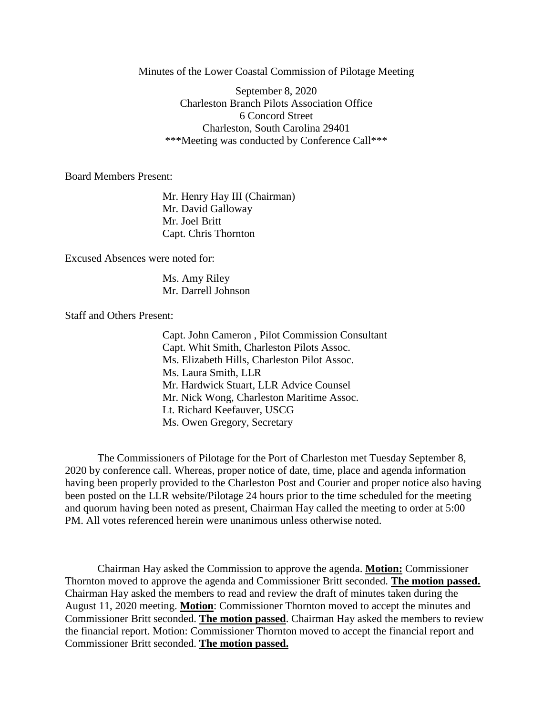Minutes of the Lower Coastal Commission of Pilotage Meeting

September 8, 2020 Charleston Branch Pilots Association Office 6 Concord Street Charleston, South Carolina 29401 \*\*\*Meeting was conducted by Conference Call\*\*\*

Board Members Present:

Mr. Henry Hay III (Chairman) Mr. David Galloway Mr. Joel Britt Capt. Chris Thornton

Excused Absences were noted for:

Ms. Amy Riley Mr. Darrell Johnson

Staff and Others Present:

Capt. John Cameron , Pilot Commission Consultant Capt. Whit Smith, Charleston Pilots Assoc. Ms. Elizabeth Hills, Charleston Pilot Assoc. Ms. Laura Smith, LLR Mr. Hardwick Stuart, LLR Advice Counsel Mr. Nick Wong, Charleston Maritime Assoc. Lt. Richard Keefauver, USCG Ms. Owen Gregory, Secretary

The Commissioners of Pilotage for the Port of Charleston met Tuesday September 8, 2020 by conference call. Whereas, proper notice of date, time, place and agenda information having been properly provided to the Charleston Post and Courier and proper notice also having been posted on the LLR website/Pilotage 24 hours prior to the time scheduled for the meeting and quorum having been noted as present, Chairman Hay called the meeting to order at 5:00 PM. All votes referenced herein were unanimous unless otherwise noted.

Chairman Hay asked the Commission to approve the agenda. **Motion:** Commissioner Thornton moved to approve the agenda and Commissioner Britt seconded. **The motion passed.** Chairman Hay asked the members to read and review the draft of minutes taken during the August 11, 2020 meeting. **Motion**: Commissioner Thornton moved to accept the minutes and Commissioner Britt seconded. **The motion passed**. Chairman Hay asked the members to review the financial report. Motion: Commissioner Thornton moved to accept the financial report and Commissioner Britt seconded. **The motion passed.**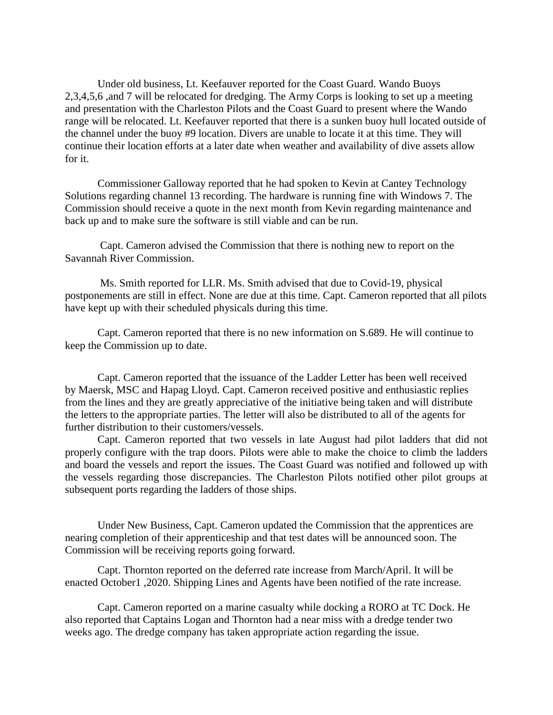Under old business, Lt. Keefauver reported for the Coast Guard. Wando Buoys 2,3,4,5,6 ,and 7 will be relocated for dredging. The Army Corps is looking to set up a meeting and presentation with the Charleston Pilots and the Coast Guard to present where the Wando range will be relocated. Lt. Keefauver reported that there is a sunken buoy hull located outside of the channel under the buoy #9 location. Divers are unable to locate it at this time. They will continue their location efforts at a later date when weather and availability of dive assets allow for it.

Commissioner Galloway reported that he had spoken to Kevin at Cantey Technology Solutions regarding channel 13 recording. The hardware is running fine with Windows 7. The Commission should receive a quote in the next month from Kevin regarding maintenance and back up and to make sure the software is still viable and can be run.

Capt. Cameron advised the Commission that there is nothing new to report on the Savannah River Commission.

Ms. Smith reported for LLR. Ms. Smith advised that due to Covid-19, physical postponements are still in effect. None are due at this time. Capt. Cameron reported that all pilots have kept up with their scheduled physicals during this time.

Capt. Cameron reported that there is no new information on S.689. He will continue to keep the Commission up to date.

Capt. Cameron reported that the issuance of the Ladder Letter has been well received by Maersk, MSC and Hapag Lloyd. Capt. Cameron received positive and enthusiastic replies from the lines and they are greatly appreciative of the initiative being taken and will distribute the letters to the appropriate parties. The letter will also be distributed to all of the agents for further distribution to their customers/vessels.

Capt. Cameron reported that two vessels in late August had pilot ladders that did not properly configure with the trap doors. Pilots were able to make the choice to climb the ladders and board the vessels and report the issues. The Coast Guard was notified and followed up with the vessels regarding those discrepancies. The Charleston Pilots notified other pilot groups at subsequent ports regarding the ladders of those ships.

Under New Business, Capt. Cameron updated the Commission that the apprentices are nearing completion of their apprenticeship and that test dates will be announced soon. The Commission will be receiving reports going forward.

Capt. Thornton reported on the deferred rate increase from March/April. It will be enacted October1 ,2020. Shipping Lines and Agents have been notified of the rate increase.

Capt. Cameron reported on a marine casualty while docking a RORO at TC Dock. He also reported that Captains Logan and Thornton had a near miss with a dredge tender two weeks ago. The dredge company has taken appropriate action regarding the issue.